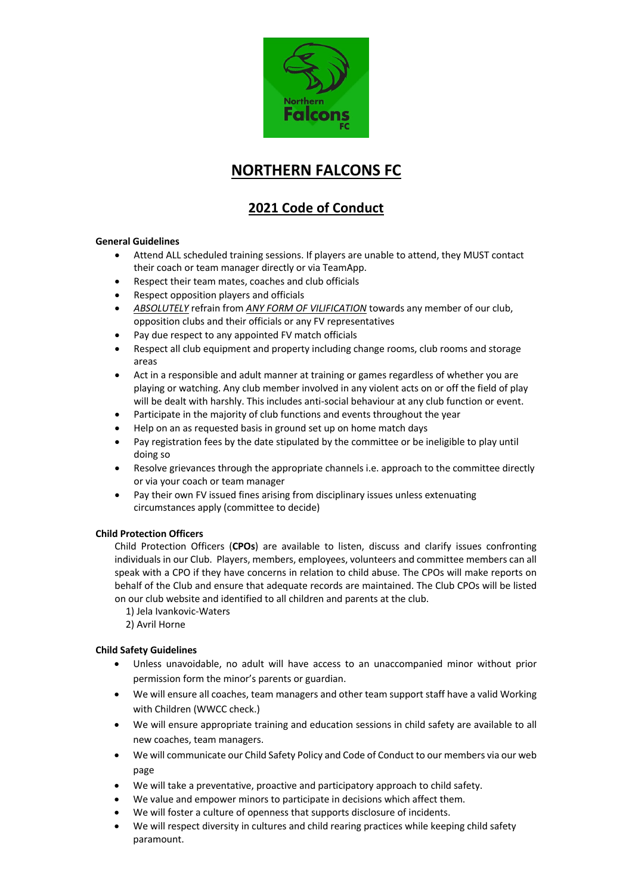

# **NORTHERN FALCONS FC**

# **2021 Code of Conduct**

#### **General Guidelines**

- Attend ALL scheduled training sessions. If players are unable to attend, they MUST contact their coach or team manager directly or via TeamApp.
- Respect their team mates, coaches and club officials
- Respect opposition players and officials
- *ABSOLUTELY* refrain from *ANY FORM OF VILIFICATION* towards any member of our club, opposition clubs and their officials or any FV representatives
- Pay due respect to any appointed FV match officials
- Respect all club equipment and property including change rooms, club rooms and storage areas
- Act in a responsible and adult manner at training or games regardless of whether you are playing or watching. Any club member involved in any violent acts on or off the field of play will be dealt with harshly. This includes anti-social behaviour at any club function or event.
- Participate in the majority of club functions and events throughout the year
- Help on an as requested basis in ground set up on home match days
- Pay registration fees by the date stipulated by the committee or be ineligible to play until doing so
- Resolve grievances through the appropriate channels i.e. approach to the committee directly or via your coach or team manager
- Pay their own FV issued fines arising from disciplinary issues unless extenuating circumstances apply (committee to decide)

## **Child Protection Officers**

Child Protection Officers (**CPOs**) are available to listen, discuss and clarify issues confronting individuals in our Club. Players, members, employees, volunteers and committee members can all speak with a CPO if they have concerns in relation to child abuse. The CPOs will make reports on behalf of the Club and ensure that adequate records are maintained. The Club CPOs will be listed on our club website and identified to all children and parents at the club.

- 1) Jela Ivankovic-Waters
- 2) Avril Horne

## **Child Safety Guidelines**

- Unless unavoidable, no adult will have access to an unaccompanied minor without prior permission form the minor's parents or guardian.
- We will ensure all coaches, team managers and other team support staff have a valid Working with Children (WWCC check.)
- We will ensure appropriate training and education sessions in child safety are available to all new coaches, team managers.
- We will communicate our Child Safety Policy and Code of Conduct to our members via our web page
- We will take a preventative, proactive and participatory approach to child safety.
- We value and empower minors to participate in decisions which affect them.
- We will foster a culture of openness that supports disclosure of incidents.
- We will respect diversity in cultures and child rearing practices while keeping child safety paramount.